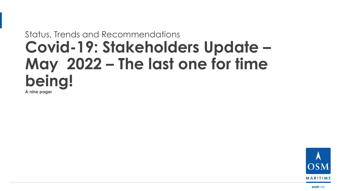# Status, Trends and Recommendations **Covid-19: Stakeholders Update – May 2022 – The last one for time being! A nine pager**



**osm**.no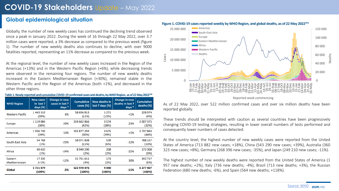#### **Global epidemiological situation**

Globally, the number of new weekly cases has continued the declining trend observed since a peak in January 2022. During the week of 16 through 22 May 2022, over 3.7 million cases were reported, a 3% decrease as compared to the previous week (figure 1). The number of new weekly deaths also continues to decline, with over 9000 fatalities reported, representing an 11% decrease as compared to the previous week.

At the regional level, the number of new weekly cases increased in the Region of the Americas (+13%) and in the Western Pacific Region (+6%), while decreasing trends were observed in the remaining four regions. The number of new weekly deaths increased in the Eastern Mediterranean Region (+30%), remained stable in the Western Pacific and the Region of the Americas (both <1%), and decreased in the other three regions.

| Table 1. Newly reported and cumulative COVID-19 confirmed cases and deaths, by WHO Region, as of 22 May 2022** |  |
|----------------------------------------------------------------------------------------------------------------|--|
|----------------------------------------------------------------------------------------------------------------|--|

| <b>WHO Region</b>        | <b>New cases</b><br>in last 7<br>days (%) | Change in new<br>cases in last 7<br>days $*$ | <b>Cumulative</b><br>cases (%) | <b>New deaths in</b><br>last 7 days (%) | Change in new<br>deaths in last 7<br>days $*$ | <b>Cumulative</b><br>deaths $(\%)$ |
|--------------------------|-------------------------------------------|----------------------------------------------|--------------------------------|-----------------------------------------|-----------------------------------------------|------------------------------------|
| <b>Western Pacific</b>   | 1 443 519<br>(39%)                        | 6%                                           | 58 656 813<br>(11%)            | 1 2 7 1<br>(13%)                        | $< 1\%$                                       | 228 974<br>(4%)                    |
| Europe                   | 1 119 084<br>(30%)                        | $-20%$                                       | 219 662 866<br>(42%)           | 3574<br>(38%)                           | $-23%$                                        | 2 007 375<br>(32%)                 |
| Americas                 | 1036740<br>(28%)                          | 13%                                          | 155 877 294<br>(30%)           | 3675<br>(39%)                           | $< 1\%$                                       | 2737863<br>(44%)                   |
| South-East Asia          | 54 768<br>(1%)                            | $-23%$                                       | 58 071 838<br>(11%)            | 539<br>(6%)                             | $-12%$                                        | 788 157<br>(13%)                   |
| Africa                   | 49 633<br>(1%)                            | $-24%$                                       | 8 949 290<br>(2%)              | 208<br>(2%)                             | $-22%$                                        | 172 308<br>(3%)                    |
| Eastern<br>Mediterranean | 17335<br>$( < 1\%)$                       | $-12%$                                       | 21 751 611<br>(4%)             | 173<br>(2%)                             | 30%                                           | 342 717<br>(5%)                    |
| Global                   | 3721079<br>(100%)                         | $-3%$                                        | 522 970 476<br>(100%)          | 9440<br>(100%)                          | $-11%$                                        | 6 277 407<br>(100%)                |





These trends should be interpreted with caution as several countries have been progressively changing COVID-19 testing strategies, resulting in lower overall numbers of tests performed and consequently lower numbers of cases detected.

At the country level, the highest number of new weekly cases were reported from the United States of America (713 882 new cases; +18%), China (543 290 new cases; +39%), Australia (360 323 new cases; +8%), Germany (268 396 new cases; -35%), and Japan (249 210 new cases; -11%).

The highest number of new weekly deaths were reported from the United States of America (1 957 new deaths; +2%), Italy (736 new deaths; -4%), Brazil (713 new deaths; +3%), the Russian Federation (680 new deaths; -6%), and Spain (564 new deaths; +118%).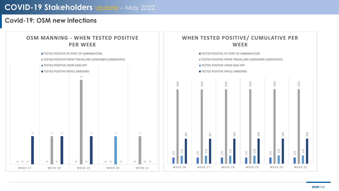### **Covid-19: OSM new infections**

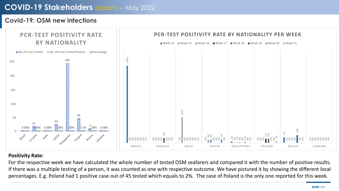#### **Covid-19: OSM new infections**



#### **Positivity Rate:**

For the respective week we have calculated the whole number of tested OSM seafarers and compared it with the number of positive results. If there was a multiple testing of a person, it was counted as one with respective outcome. We have pictured it by showing the different local percentages. E.g. Poland had 1 positive case out of 45 tested which equals to 2%. The case of Poland is the only one reported for this week.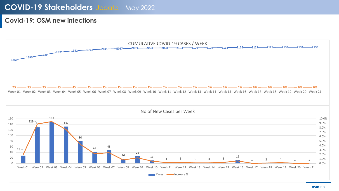### **Covid-19: OSM new infections**

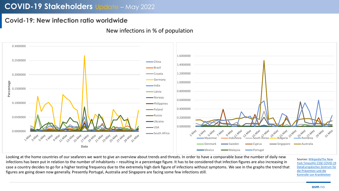## **Covid-19: New infection ratio worldwide**

#### 0.3000000 1.6000000 0.2500000  $-$ China 1.4000000 Brazil 1.2000000 Croatia 0.2000000 Germany **Percentage** 1.0000000 India 0.1500000 0.8000000 **Latvia** Norway 0.6000000 0.1000000 Philippines 0.4000000 Poland Russia 0.0500000 0.2000000 **-Ukraine** 0.0000000 Apple 1 S. May 1 May 1 May 1 S. May 1 May 1 May 1 May 1 May 1 May 1 May 1 May 1 May 1 May 1 May 1 May 1 May 1 USA **HARY 1.500Y 2012/24** 0.0000000 A 31-May South Africa May 12/04 **1/21 Allay May 1218Y 124 May** hay May 1/24 May hay Anay **Hyla** 1/ay 1/ay **1/24 May** 7-May 9-May 13-May 15-May 3-May 5-May Denmark **Sweden Cyprus** Singapore **Supermark** Australia **Date** Mexico **I**Malaysia **I**Malaysia Portugal

New infections in % of population

Looking at the home countries of our seafarers we want to give an overview about trends and threats. In order to have a comparable base the number of daily new infections has been put in relation to the number of inhabitants – resulting in a percentage figure. It has to be considered that infection figures are also increasing in case a country decides to go for a higher testing frequency due to the extremely high dark figure of infections without symptoms. We see in the graphs the trend that figures are going down now generally. Presently Portugal, Australia and Singapore are facing some few infections still.

Sources: [WikipediaThe New](http://en.wikipedia.org/wiki/Template:COVID-19_pandemic_data)  [York TimesJHU CSSE COVID-19](https://www.nytimes.com/interactive/2020/us/coronavirus-us-cases.html) [DataEuropäisches Zentrum für](https://www.ecdc.europa.eu/en/publications-data/download-todays-data-geographic-distribution-covid-19-cases-worldwide) die Prävention und die Kontrolle von Krankheiten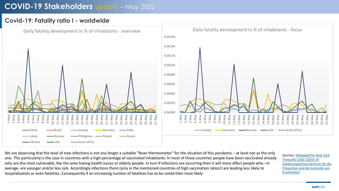#### **Covid-19: Fatality ratio I - worldwide**



We are observing that the level of new infections is not any longer a suitable "fever thermometer" for the situation of this pandemic – at least not as the only one. This particularly is the case in countries with a high percentage of vaccinated inhabitants. In most of these countries people have been vaccinated already who are the most vulnerable, like the ones having health issues or elderly people. In turn if infections are occurring then it will more affect people who –in average- are younger and/or less sick. Accordingly infections there (only in the mentioned countries of high vaccination ratios!) are leading less likely to hospitalization or even fatalities. Consequently if an increasing number of fatalities has to be noted then most likely

Sources: [WikipediaThe New York](http://en.wikipedia.org/wiki/Template:COVID-19_pandemic_data) [TimesJHU CSSE COVID-19](https://www.nytimes.com/interactive/2020/us/coronavirus-us-cases.html)  [DataEuropäisches Zentrum für die](https://github.com/CSSEGISandData/COVID-19)  [Prävention und die Kontrolle von](https://www.ecdc.europa.eu/en/publications-data/download-todays-data-geographic-distribution-covid-19-cases-worldwide)  Krankheiten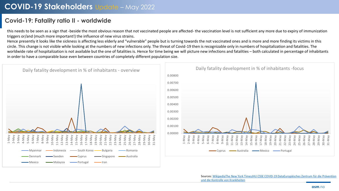### **Covid-19: Fatality ratio II - worldwide**

this needs to be seen as a sign that -beside the most obvious reason that not vaccinated people are affected- the vaccination level is not sufficient any more due to expiry of immunization triggers or/and (much more important!) the influence of new virus strains.

Hence presently it looks like the sickness is affecting less elderly and "vulnerable" people but is turning towards the not vaccinated ones and is more and more finding its victims in this circle. This change is not visible while looking at the numbers of new infections only. The threat of Covid-19 then is recognizable only in numbers of hospitalization and fatalities. The worldwide rate of hospitalization is not available but the one of fatalities is. Hence for time being we will picture new infections and fatalities – both calculated in percentage of inhabitants in order to have a comparable base even between countries of completely different population size.



Sources: [WikipediaThe New York TimesJHU CSSE COVID-19 DataEuropäisches Zentrum für die Präventio](https://www.ecdc.europa.eu/en/publications-data/download-todays-data-geographic-distribution-covid-19-cases-worldwide)[n](http://en.wikipedia.org/wiki/Template:COVID-19_pandemic_data)  und die Kontrolle von Krankheiten